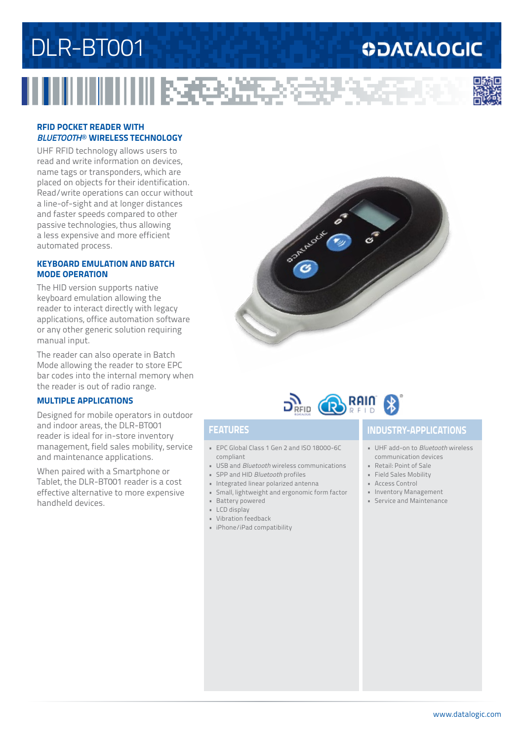# DLR-BT001

### **ODATALOGIC**



#### **RFID POCKET READER WITH**  *BLUETOOTH*® **WIRELESS TECHNOLOGY**

**INNINESSES** 

UHF RFID technology allows users to read and write information on devices, name tags or transponders, which are placed on objects for their identification. Read/write operations can occur without a line-of-sight and at longer distances and faster speeds compared to other passive technologies, thus allowing a less expensive and more efficient automated process.

#### **KEYBOARD EMULATION AND BATCH MODE OPERATION**

The HID version supports native keyboard emulation allowing the reader to interact directly with legacy applications, office automation software or any other generic solution requiring manual input.

The reader can also operate in Batch Mode allowing the reader to store EPC bar codes into the internal memory when the reader is out of radio range.

#### **MULTIPLE APPLICATIONS**

Designed for mobile operators in outdoor and indoor areas, the DLR-BT001 reader is ideal for in-store inventory management, field sales mobility, service and maintenance applications.

When paired with a Smartphone or Tablet, the DLR-BT001 reader is a cost effective alternative to more expensive handheld devices.





- EPC Global Class 1 Gen 2 and ISO 18000-6C compliant
- USB and *Bluetooth* wireless communications
- SPP and HID *Bluetooth* profiles
- Integrated linear polarized antenna
- Small, lightweight and ergonomic form factor
- Battery powered
- LCD display
- Vibration feedback
- iPhone/iPad compatibility

### **FEATURES INDUSTRY-APPLICATIONS**

- UHF add-on to *Bluetooth* wireless communication devices
- Retail: Point of Sale
- Field Sales Mobility
- Access Control
- Inventory Management
- Service and Maintenance